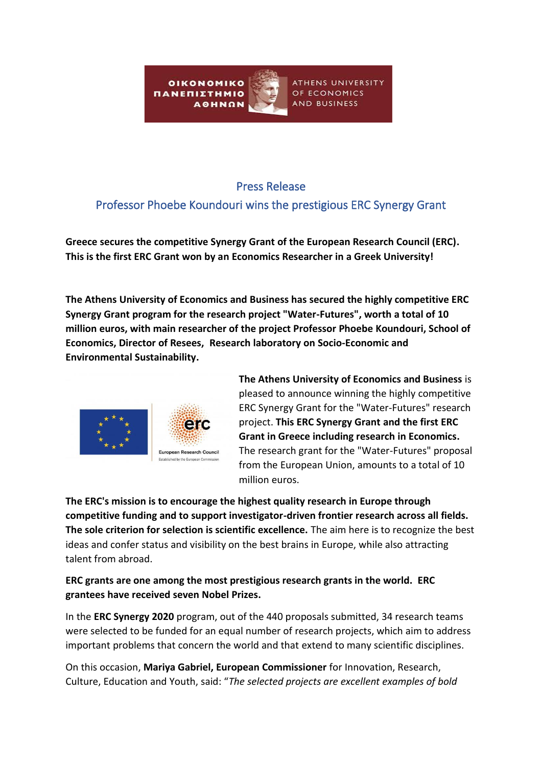**OIKONOMIKO** ΠΑΝΕΠΙΣΤΗΜΙΟ **AOHNON** 

ATHENS UNIVERSITY OF ECONOMICS AND BUSINESS

## Press Release

# Professor Phoebe Koundouri wins the prestigious ERC Synergy Grant

**Greece secures the competitive Synergy Grant of the European Research Council (ERC). This is the first ERC Grant won by an Economics Researcher in a Greek University!**

**The Athens University of Economics and Business has secured the highly competitive ERC Synergy Grant program for the research project "Water-Futures", worth a total of 10 million euros, with main researcher of the project Professor Phoebe Koundouri, School of Economics, Director of Resees, Research laboratory on Socio-Economic and Environmental Sustainability.**



**The Athens University of Economics and Business** is pleased to announce winning the highly competitive ERC Synergy Grant for the "Water-Futures" research project. **This ERC Synergy Grant and the first ERC Grant in Greece including research in Economics.** The research grant for the "Water-Futures" proposal from the European Union, amounts to a total of 10 million euros.

**The ERC's mission is to encourage the highest quality research in Europe through competitive funding and to support investigator-driven frontier research across all fields. The sole criterion for selection is scientific excellence.** The aim here is to recognize the best ideas and confer status and visibility on the best brains in Europe, while also attracting talent from abroad.

## **ERC grants are one among the most prestigious research grants in the world. ERC grantees have received seven Nobel Prizes.**

In the **ERC Synergy 2020** program, out of the 440 proposals submitted, 34 research teams were selected to be funded for an equal number of research projects, which aim to address important problems that concern the world and that extend to many scientific disciplines.

On this occasion, **Mariya Gabriel, European Commissioner** for Innovation, Research, Culture, Education and Youth, said: "*The selected projects are excellent examples of bold*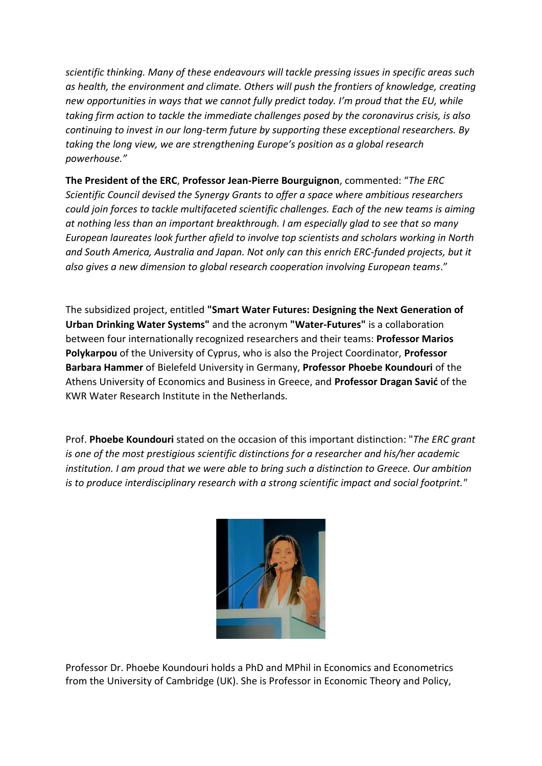*scientific thinking. Many of these endeavours will tackle pressing issues in specific areas such as health, the environment and climate. Others will push the frontiers of knowledge, creating new opportunities in ways that we cannot fully predict today. I'm proud that the EU, while taking firm action to tackle the immediate challenges posed by the coronavirus crisis, is also continuing to invest in our long-term future by supporting these exceptional researchers. By taking the long view, we are strengthening Europe's position as a global research powerhouse."*

**The President of the ERC**, **Professor Jean-Pierre Bourguignon**, commented: "*The ERC Scientific Council devised the Synergy Grants to offer a space where ambitious researchers could join forces to tackle multifaceted scientific challenges. Each of the new teams is aiming at nothing less than an important breakthrough. I am especially glad to see that so many European laureates look further afield to involve top scientists and scholars working in North and South America, Australia and Japan. Not only can this enrich ERC-funded projects, but it also gives a new dimension to global research cooperation involving European teams*."

The subsidized project, entitled **"Smart Water Futures: Designing the Next Generation of Urban Drinking Water Systems"** and the acronym **"Water-Futures"** is a collaboration between four internationally recognized researchers and their teams: **Professor Marios Polykarpou** of the University of Cyprus, who is also the Project Coordinator, **Professor Barbara Hammer** of Bielefeld University in Germany, **Professor Phoebe Koundouri** of the Athens University of Economics and Business in Greece, and **Professor Dragan Savić** of the KWR Water Research Institute in the Netherlands.

Prof. **Phoebe Koundouri** stated on the occasion of this important distinction: "*The ERC grant is one of the most prestigious scientific distinctions for a researcher and his/her academic institution. I am proud that we were able to bring such a distinction to Greece. Our ambition is to produce interdisciplinary research with a strong scientific impact and social footprint."*



Professor Dr. Phoebe Koundouri holds a PhD and MPhil in Economics and Econometrics from the University of Cambridge (UK). She is Professor in Economic Theory and Policy,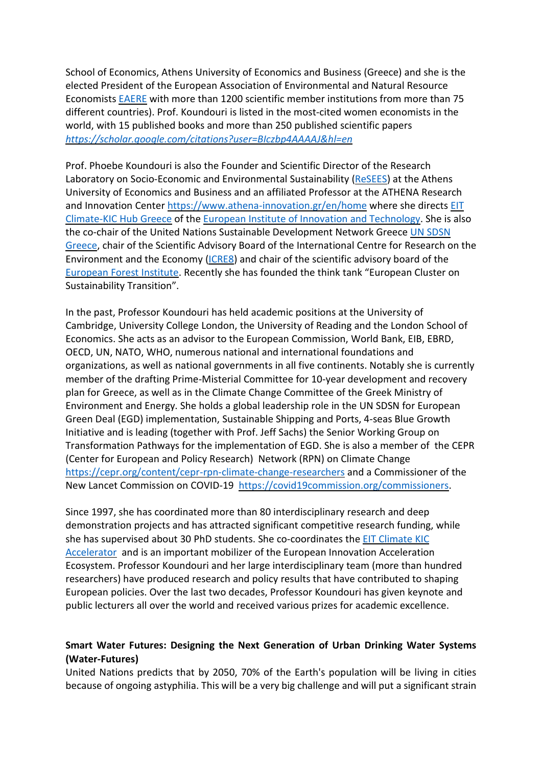School of Economics, Athens University of Economics and Business (Greece) and she is the elected President of the European Association of Environmental and Natural Resource Economists [EAERE](http://www.eaere.org/) with more than 1200 scientific member institutions from more than 75 different countries). Prof. Koundouri is listed in the most-cited women economists in the world, with 15 published books and more than 250 published scientific papers *<https://scholar.google.com/citations?user=BIczbp4AAAAJ&hl=en>*

Prof. Phoebe Koundouri is also the Founder and Scientific Director of the Research Laboratory on Socio-Economic and Environmental Sustainability [\(ReSEES\)](http://www.dept.aueb.gr/en/ReSEES) at the Athens University of Economics and Business and an affiliated Professor at the ATHENA Research and Innovation Center <https://www.athena-innovation.gr/en/home> where she directs [EIT](http://www.athenarc.gr/en/eit-climate-kic-greece-hub) [Climate-KIC](http://www.athenarc.gr/en/eit-climate-kic-greece-hub) Hub Greece of the European Institute of Innovation and [Technology.](https://eit.europa.eu/) She is also the co-chair of the United Nations Sustainable Development Network Greece UN [SDSN](http://www.unsdsn.gr/) [Greece,](http://www.unsdsn.gr/) chair of the Scientific Advisory Board of the International Centre for Research on the Environment and the Economy [\(ICRE8\)](http://www.icre8.eu/) and chair of the scientific advisory board of the [European](http://www.efi.int/) Forest Institute. Recently she has founded the think tank "European Cluster on Sustainability Transition".

In the past, Professor Koundouri has held academic positions at the University of Cambridge, University College London, the University of Reading and the London School of Economics. She acts as an advisor to the European Commission, World Bank, EIB, EBRD, OECD, UN, NATO, WHO, numerous national and international foundations and organizations, as well as national governments in all five continents. Notably she is currently member of the drafting Prime-Misterial Committee for 10-year development and recovery plan for Greece, as well as in the Climate Change Committee of the Greek Ministry of Environment and Energy. She holds a global leadership role in the UN SDSN for European Green Deal (EGD) implementation, Sustainable Shipping and Ports, 4-seas Blue Growth Initiative and is leading (together with Prof. Jeff Sachs) the Senior Working Group on Transformation Pathways for the implementation of EGD. She is also a member of the CEPR (Center for European and Policy Research) Network (RPN) on Climate Change <https://cepr.org/content/cepr-rpn-climate-change-researchers> and a Commissioner of the New Lancet Commission on COVID-19 [https://covid19commission.org/commissioners.](https://covid19commission.org/commissioners)

Since 1997, she has coordinated more than 80 interdisciplinary research and deep demonstration projects and has attracted significant competitive research funding, while she has supervised about 30 PhD students. She co-coordinates the EIT [Climate](https://www.climate-kic.org/programmes/entrepreneurship/accelerator/) KIC [Accelerator](https://www.climate-kic.org/programmes/entrepreneurship/accelerator/) and is an important mobilizer of the European Innovation Acceleration Ecosystem. Professor Koundouri and her large interdisciplinary team (more than hundred researchers) have produced research and policy results that have contributed to shaping European policies. Over the last two decades, Professor Koundouri has given keynote and public lecturers all over the world and received various prizes for academic excellence.

#### **Smart Water Futures: Designing the Next Generation of Urban Drinking Water Systems (Water-Futures)**

United Nations predicts that by 2050, 70% of the Earth's population will be living in cities because of ongoing astyphilia. This will be a very big challenge and will put a significant strain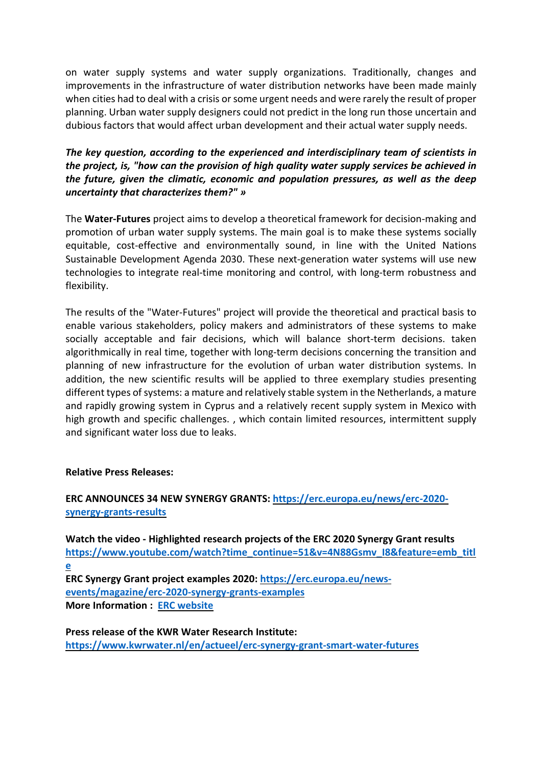on water supply systems and water supply organizations. Traditionally, changes and improvements in the infrastructure of water distribution networks have been made mainly when cities had to deal with a crisis or some urgent needs and were rarely the result of proper planning. Urban water supply designers could not predict in the long run those uncertain and dubious factors that would affect urban development and their actual water supply needs.

### *The key question, according to the experienced and interdisciplinary team of scientists in the project, is, "how can the provision of high quality water supply services be achieved in the future, given the climatic, economic and population pressures, as well as the deep uncertainty that characterizes them?" »*

The **Water-Futures** project aims to develop a theoretical framework for decision-making and promotion of urban water supply systems. The main goal is to make these systems socially equitable, cost-effective and environmentally sound, in line with the United Nations Sustainable Development Agenda 2030. These next-generation water systems will use new technologies to integrate real-time monitoring and control, with long-term robustness and flexibility.

The results of the "Water-Futures" project will provide the theoretical and practical basis to enable various stakeholders, policy makers and administrators of these systems to make socially acceptable and fair decisions, which will balance short-term decisions. taken algorithmically in real time, together with long-term decisions concerning the transition and planning of new infrastructure for the evolution of urban water distribution systems. In addition, the new scientific results will be applied to three exemplary studies presenting different types of systems: a mature and relatively stable system in the Netherlands, a mature and rapidly growing system in Cyprus and a relatively recent supply system in Mexico with high growth and specific challenges. , which contain limited resources, intermittent supply and significant water loss due to leaks.

#### **Relative Press Releases:**

### **ERC ANNOUNCES 34 NEW SYNERGY GRANTS: [https://erc.europa.eu/news/erc-2020](https://erc.europa.eu/news/erc-2020-synergy-grants-results) [synergy-grants-results](https://erc.europa.eu/news/erc-2020-synergy-grants-results)**

**Watch the video - Highlighted research projects of the ERC 2020 Synergy Grant results [https://www.youtube.com/watch?time\\_continue=51&v=4N88Gsmv\\_I8&feature=emb\\_titl](https://www.youtube.com/watch?time_continue=51&v=4N88Gsmv_I8&feature=emb_title) [e](https://www.youtube.com/watch?time_continue=51&v=4N88Gsmv_I8&feature=emb_title) ERC Synergy Grant project examples 2020: [https://erc.europa.eu/news](https://erc.europa.eu/news-events/magazine/erc-2020-synergy-grants-examples)[events/magazine/erc-2020-synergy-grants-examples](https://erc.europa.eu/news-events/magazine/erc-2020-synergy-grants-examples) More Information : ERC [website](https://erc.europa.eu/)**

**Press release of the KWR Water Research Institute: <https://www.kwrwater.nl/en/actueel/erc-synergy-grant-smart-water-futures>**